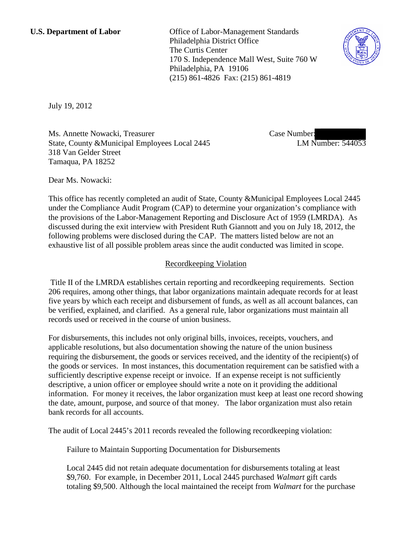**U.S. Department of Labor** Office of Labor-Management Standards Philadelphia District Office The Curtis Center 170 S. Independence Mall West, Suite 760 W Philadelphia, PA 19106 (215) 861-4826 Fax: (215) 861-4819



July 19, 2012

Ms. Annette Nowacki, Treasurer State, County &Municipal Employees Local 2445 318 Van Gelder Street Tamaqua, PA 18252

Case Number: LM Number: 544053

Dear Ms. Nowacki:

This office has recently completed an audit of State, County &Municipal Employees Local 2445 under the Compliance Audit Program (CAP) to determine your organization's compliance with the provisions of the Labor-Management Reporting and Disclosure Act of 1959 (LMRDA). As discussed during the exit interview with President Ruth Giannott and you on July 18, 2012, the following problems were disclosed during the CAP. The matters listed below are not an exhaustive list of all possible problem areas since the audit conducted was limited in scope.

## Recordkeeping Violation

Title II of the LMRDA establishes certain reporting and recordkeeping requirements. Section 206 requires, among other things, that labor organizations maintain adequate records for at least five years by which each receipt and disbursement of funds, as well as all account balances, can be verified, explained, and clarified. As a general rule, labor organizations must maintain all records used or received in the course of union business.

For disbursements, this includes not only original bills, invoices, receipts, vouchers, and applicable resolutions, but also documentation showing the nature of the union business requiring the disbursement, the goods or services received, and the identity of the recipient(s) of the goods or services. In most instances, this documentation requirement can be satisfied with a sufficiently descriptive expense receipt or invoice. If an expense receipt is not sufficiently descriptive, a union officer or employee should write a note on it providing the additional information. For money it receives, the labor organization must keep at least one record showing the date, amount, purpose, and source of that money. The labor organization must also retain bank records for all accounts.

The audit of Local 2445's 2011 records revealed the following recordkeeping violation:

Failure to Maintain Supporting Documentation for Disbursements

Local 2445 did not retain adequate documentation for disbursements totaling at least \$9,760. For example, in December 2011, Local 2445 purchased *Walmart* gift cards totaling \$9,500. Although the local maintained the receipt from *Walmart* for the purchase